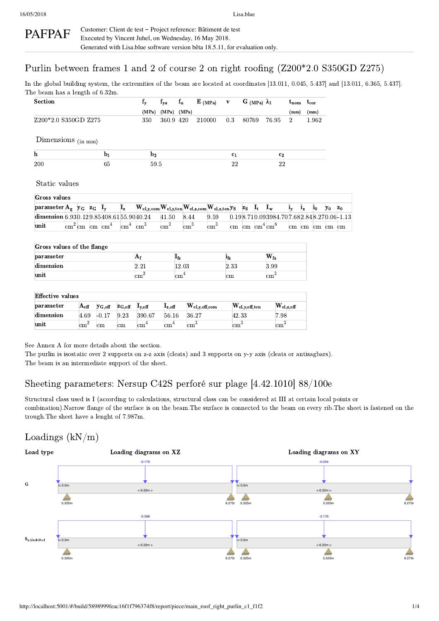#### PAFPAF Customer: Client de test ‑ Project reference: Bâtiment de test Executed by Vincent Juhel, on Wednesday, 16 May 2018. Generated with Lisa.blue software version bêta 18.5.11, for evaluation only.

## Purlin between frames 1 and 2 of course 2 on right roofing (Z200\*2.0 S350GD Z275)

In the global building system, the extremities of the beam are located at coordinates [13.011, 0.045, 5.437] and [13.011, 6.365, 5.437]. The beam has a length of 6.32m.

| <b>Section</b>                                               |  |                                                 |                           | $f_y$                                                          | $f_{\rm ya}$    | $f_u$      | $\mathbf{E}$ (MPa) | v |                | $G$ (MPa) $\lambda_1$                 |                                          | $t_{\rm nom}$  |         | $t_{cor}$      |                |       |
|--------------------------------------------------------------|--|-------------------------------------------------|---------------------------|----------------------------------------------------------------|-----------------|------------|--------------------|---|----------------|---------------------------------------|------------------------------------------|----------------|---------|----------------|----------------|-------|
|                                                              |  |                                                 |                           | (MPa)                                                          | $(MPa)$ $(MPa)$ |            |                    |   |                |                                       |                                          | (mm)           |         | (mm)           |                |       |
| Z200*2.0 S350GD Z275                                         |  |                                                 |                           | 350                                                            | 360.9 420       |            | 210000             |   | 0.3            | 80769                                 | 76.95                                    | $\overline{2}$ |         | 1.962          |                |       |
| Dimensions (in mm)                                           |  |                                                 |                           |                                                                |                 |            |                    |   |                |                                       |                                          |                |         |                |                |       |
| $\mathbf{h}$                                                 |  | $\mathbf{b}_1$                                  |                           | $\mathbf{b}_2$                                                 |                 |            |                    |   | c <sub>1</sub> |                                       | c <sub>2</sub>                           |                |         |                |                |       |
| <b>200</b>                                                   |  | 65                                              |                           | 59.5                                                           |                 |            |                    |   | 22             |                                       | 22                                       |                |         |                |                |       |
| Static values                                                |  |                                                 |                           |                                                                |                 |            |                    |   |                |                                       |                                          |                |         |                |                |       |
| Gross values                                                 |  |                                                 |                           |                                                                |                 |            |                    |   |                |                                       |                                          |                |         |                |                |       |
| parameter $A_g$ y <sub>G</sub> z <sub>G</sub> I <sub>y</sub> |  |                                                 | $\mathbf{I}_{\mathbf{z}}$ | $\rm{[W_{el,y,com}W_{el,y,ten}W_{el,z,com}W_{el,z,ten}y_{S}]}$ |                 |            |                    |   |                | $z_S$ $I_t$                           | $I_{\rm w}$                              | $i_v$          | $i_{z}$ | $\mathbf{i}_0$ | Уo             | $z_0$ |
| dimension 6.930.129.85408.6155.9040.24                       |  |                                                 |                           |                                                                | 41.50           | 8.44       | 9.59               |   |                |                                       | 0.198.710.093984.707.682.848.270.06-1.13 |                |         |                |                |       |
| unit                                                         |  | $\mathrm{cm}^2\,\mathrm{cm}$ cm $\mathrm{cm}^4$ | $\rm cm^4$                | $\rm cm^3$                                                     | $\rm cm^3$      | $\rm cm^3$ | $\rm cm^3$         |   |                | cm cm $\mathrm{cm}^4$ cm <sup>6</sup> |                                          |                |         |                | cm cm cm cm cm |       |

| Gross values of the flange |              |       |                 |                 |  |  |  |  |  |  |  |
|----------------------------|--------------|-------|-----------------|-----------------|--|--|--|--|--|--|--|
| parameter                  | $\mathbf{A}$ | 1fz   | ⊥fz             | $\rm W_{f_{Z}}$ |  |  |  |  |  |  |  |
| dimension                  |              | 12.03 | 2.33            | 3.99            |  |  |  |  |  |  |  |
| unit                       | cm           | cm    | $\,\mathrm{cm}$ | $cm^{\circ}$    |  |  |  |  |  |  |  |

| <b>Effective values</b> |                 |                 |                      |             |                 |                             |                        |                             |  |  |  |  |
|-------------------------|-----------------|-----------------|----------------------|-------------|-----------------|-----------------------------|------------------------|-----------------------------|--|--|--|--|
| parameter               | $A_{\rm eff}$   | $y_{\rm G,eff}$ | $\mathbf{z_{G,eff}}$ | $L_{v,eff}$ | $L_{z,eff}$     | $\rm W_{el,y,eff,com}$      | $\rm W_{el,y,eff,ten}$ | $\rm W_{el,z,eff}$          |  |  |  |  |
| dimension               | 4.69            | $-0.17$         | 9.23                 | 390.67      | 56.16           | 36.27                       | 42.33                  | 7.98                        |  |  |  |  |
| unit                    | $\,\mathrm{cm}$ | $\rm cm$        | cm                   | cm          | cm <sup>-</sup> | $\mathbb{C}$ m <sup>3</sup> | $\mathbf{cm}$          | $\mathbb{C}$ m $\mathbb{C}$ |  |  |  |  |

See Annex A for more details about the section.

The purlin is isostatic over 2 supports on z-z axis (cleats) and 3 supports on y-y axis (cleats or antisagbars). The beam is an intermediate support of the sheet.

## Sheeting parameters: Nersup C42S perforé sur plage [4.42.1010] 88/100e

Structural class used is I (according to calculations, structural class can be considered at III at certain local points or combination).Narrow flange of the surface is on the beam.The surface is connected to the beam on every rib.The sheet is fastened on the trough.The sheet have a lenght of 7.987m.

## Loadings  $(kN/m)$

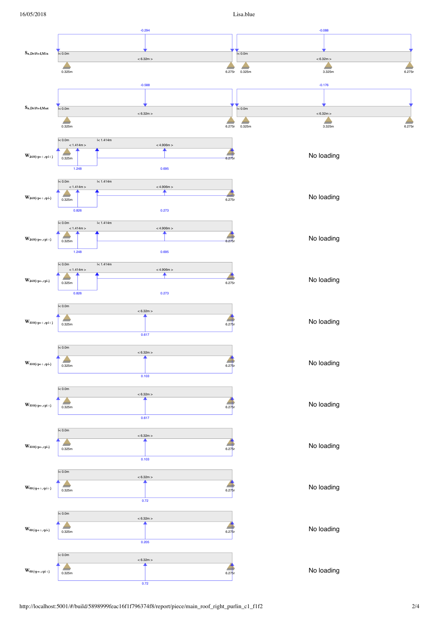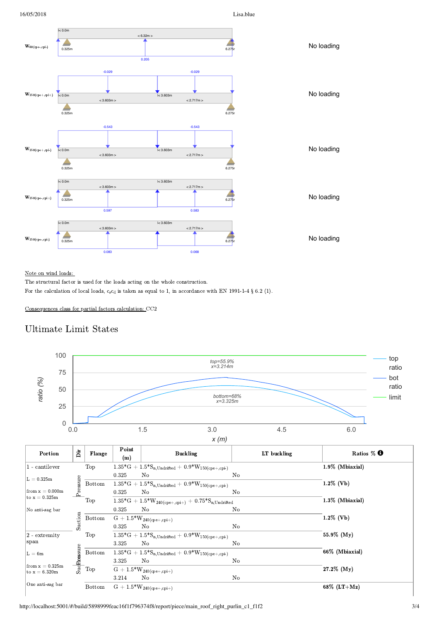

### Note on wind loads:

The structural factor is used for the loads acting on the whole construction. For the calculation of local loads,  $c_s c_d$  is taken as equal to 1, in accordance with EN 1991-1-4 § 6.2 (1).

Consequences class for partial factors calculation: CC2

## Ultimate Limit States